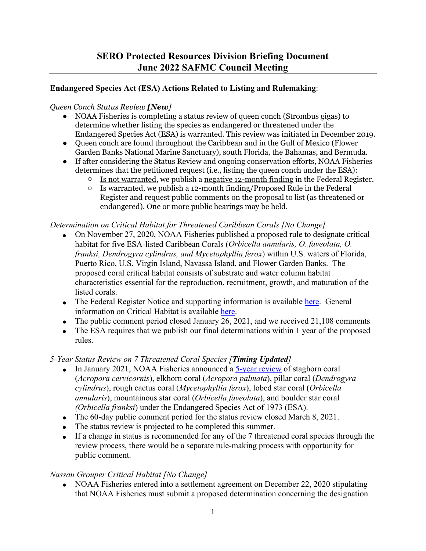## **Endangered Species Act (ESA) Actions Related to Listing and Rulemaking**:

#### *Queen Conch Status Review [New]*

- NOAA Fisheries is completing a status review of queen conch (Strombus gigas) to determine whether listing the species as endangered or threatened under the Endangered Species Act (ESA) is warranted. This review was initiated in December 2019.
- Queen conch are found throughout the Caribbean and in the Gulf of Mexico (Flower Garden Banks National Marine Sanctuary), south Florida, the Bahamas, and Bermuda.
- If after considering the Status Review and ongoing conservation efforts, NOAA Fisheries determines that the petitioned request (i.e., listing the queen conch under the ESA):
	- $\circ$  Is not warranted, we publish a negative 12-month finding in the Federal Register.<br>  $\circ$  Is warranted, we publish a 12-month finding/Proposed Rule in the Federal
	- Is warranted, we publish a 12-month finding/Proposed Rule in the Federal Register and request public comments on the proposal to list (as threatened or endangered). One or more public hearings may be held.

#### *Determination on Critical Habitat for Threatened Caribbean Corals [No Change]*

- On November 27, 2020, NOAA Fisheries published a proposed rule to designate critical habitat for five ESA-listed Caribbean Corals (*Orbicella annularis, O. faveolata, O. franksi, Dendrogyra cylindrus, and Mycetophyllia ferox*) within U.S. waters of Florida, Puerto Rico, U.S. Virgin Island, Navassa Island, and Flower Garden Banks. The proposed coral critical habitat consists of substrate and water column habitat characteristics essential for the reproduction, recruitment, growth, and maturation of the listed corals.
- The Federal Register Notice and supporting information is available [here.](https://www.fisheries.noaa.gov/action/proposed-rule-designate-critical-habitat-threatened-caribbean-corals) General information on Critical Habitat is available [here.](https://www.fisheries.noaa.gov/national/endangered-species-conservation/critical-habitat)
- The public comment period closed January 26, 2021, and we received  $21,108$  comments
- The ESA requires that we publish our final determinations within 1 year of the proposed rules.

### *5-Year Status Review on 7 Threatened Coral Species [Timing Updated]*

- In January 2021, NOAA Fisheries announced a [5-year review](https://www.fisheries.noaa.gov/national/endangered-species-conservation/endangered-species-act-5-year-review) of staghorn coral (*Acropora cervicornis*), elkhorn coral (*Acropora palmata*), pillar coral (*Dendrogyra cylindrus*), rough cactus coral (*Mycetophyllia ferox*), lobed star coral (*Orbicella annularis*), mountainous star coral (*Orbicella faveolata*), and boulder star coral *(Orbicella franksi*) under the Endangered Species Act of 1973 (ESA).
- The 60-day public comment period for the status review closed March 8, 2021.
- The status review is projected to be completed this summer.
- If a change in status is recommended for any of the 7 threatened coral species through the review process, there would be a separate rule-making process with opportunity for public comment.

### *Nassau Grouper Critical Habitat [No Change]*

• NOAA Fisheries entered into a settlement agreement on December 22, 2020 stipulating that NOAA Fisheries must submit a proposed determination concerning the designation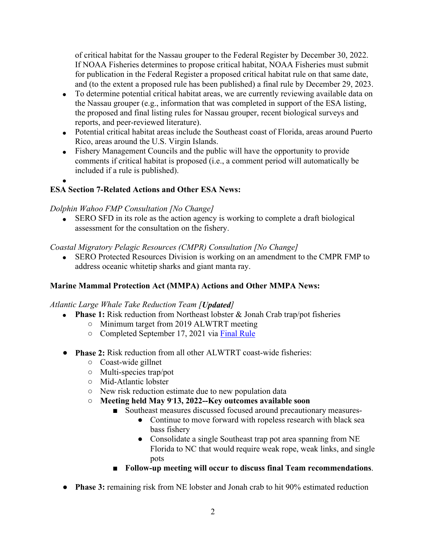of critical habitat for the Nassau grouper to the Federal Register by December 30, 2022. If NOAA Fisheries determines to propose critical habitat, NOAA Fisheries must submit for publication in the Federal Register a proposed critical habitat rule on that same date, and (to the extent a proposed rule has been published) a final rule by December 29, 2023.

- To determine potential critical habitat areas, we are currently reviewing available data on the Nassau grouper (e.g., information that was completed in support of the ESA listing, the proposed and final listing rules for Nassau grouper, recent biological surveys and reports, and peer-reviewed literature).
- Potential critical habitat areas include the Southeast coast of Florida, areas around Puerto Rico, areas around the U.S. Virgin Islands.
- Fishery Management Councils and the public will have the opportunity to provide comments if critical habitat is proposed (i.e., a comment period will automatically be included if a rule is published).
- •

# **ESA Section 7-Related Actions and Other ESA News:**

## *Dolphin Wahoo FMP Consultation [No Change]*

• SERO SFD in its role as the action agency is working to complete a draft biological assessment for the consultation on the fishery.

## *Coastal Migratory Pelagic Resources (CMPR) Consultation [No Change]*

• SERO Protected Resources Division is working on an amendment to the CMPR FMP to address oceanic whitetip sharks and giant manta ray.

# **Marine Mammal Protection Act (MMPA) Actions and Other MMPA News:**

### *Atlantic Large Whale Take Reduction Team [Updated]*

- **Phase 1:** Risk reduction from Northeast lobster & Jonah Crab trap/pot fisheries
	- Minimum target from 2019 ALWTRT meeting
	- Completed September 17, 2021 via [Final Rule](https://www.fisheries.noaa.gov/action/final-rule-amend-atlantic-large-whale-take-reduction-plan-reduce-risk-serious-injury-and)
- **Phase 2:** Risk reduction from all other ALWTRT coast-wide fisheries:
	- Coast-wide gillnet
	- Multi-species trap/pot
	- Mid-Atlantic lobster
	- New risk reduction estimate due to new population data
	- **Meeting held May 9- 13, 2022--Key outcomes available soon**
		- Southeast measures discussed focused around precautionary measures-
			- Continue to move forward with ropeless research with black sea bass fishery
			- Consolidate a single Southeast trap pot area spanning from NE Florida to NC that would require weak rope, weak links, and single pots
		- **Follow-up meeting will occur to discuss final Team recommendations**.
- **Phase 3:** remaining risk from NE lobster and Jonah crab to hit 90% estimated reduction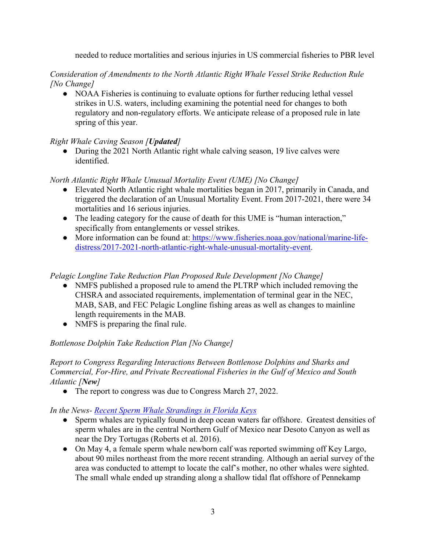needed to reduce mortalities and serious injuries in US commercial fisheries to PBR level

*Consideration of Amendments to the North Atlantic Right Whale Vessel Strike Reduction Rule [No Change]*

● NOAA Fisheries is continuing to evaluate options for further reducing lethal vessel strikes in U.S. waters, including examining the potential need for changes to both regulatory and non-regulatory efforts. We anticipate release of a proposed rule in late spring of this year.

### *Right Whale Caving Season [Updated]*

• During the 2021 North Atlantic right whale calving season, 19 live calves were identified.

### *North Atlantic Right Whale Unusual Mortality Event (UME) [No Change]*

- Elevated North Atlantic right whale mortalities began in 2017, primarily in Canada, and triggered the declaration of an Unusual Mortality Event. From 2017-2021, there were 34 mortalities and 16 serious injuries.
- The leading category for the cause of death for this UME is "human interaction," specifically from entanglements or vessel strikes.
- More information can be found at: [https://www.fisheries.noaa.gov/national/marine-life](https://www.fisheries.noaa.gov/national/marine-life-distress/2017-2021-north-atlantic-right-whale-unusual-mortality-event)[distress/2017-2021-north-atlantic-right-whale-unusual-mortality-event.](https://www.fisheries.noaa.gov/national/marine-life-distress/2017-2021-north-atlantic-right-whale-unusual-mortality-event)

#### *Pelagic Longline Take Reduction Plan Proposed Rule Development [No Change]*

- NMFS published a proposed rule to amend the PLTRP which included removing the CHSRA and associated requirements, implementation of terminal gear in the NEC, MAB, SAB, and FEC Pelagic Longline fishing areas as well as changes to mainline length requirements in the MAB.
- NMFS is preparing the final rule.

### *Bottlenose Dolphin Take Reduction Plan [No Change]*

#### *Report to Congress Regarding Interactions Between Bottlenose Dolphins and Sharks and Commercial, For-Hire, and Private Recreational Fisheries in the Gulf of Mexico and South Atlantic [New]*

• The report to congress was due to Congress March 27, 2022.

*In the News- Recent Sperm Whale Strandings in Florida Keys*

- Sperm whales are typically found in deep ocean waters far offshore. Greatest densities of sperm whales are in the central Northern Gulf of Mexico near Desoto Canyon as well as near the Dry Tortugas (Roberts et al. 2016).
- On May 4, a female sperm whale newborn calf was reported swimming off Key Largo, about 90 miles northeast from the more recent stranding. Although an aerial survey of the area was conducted to attempt to locate the calf's mother, no other whales were sighted. The small whale ended up stranding along a shallow tidal flat offshore of Pennekamp